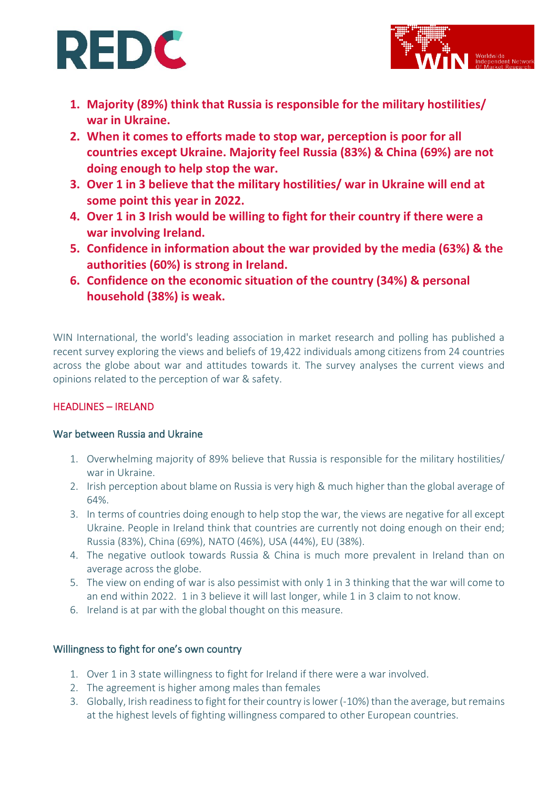# **REDC**



- **1. Majority (89%) think that Russia is responsible for the military hostilities/ war in Ukraine.**
- **2. When it comes to efforts made to stop war, perception is poor for all countries except Ukraine. Majority feel Russia (83%) & China (69%) are not doing enough to help stop the war.**
- **3. Over 1 in 3 believe that the military hostilities/ war in Ukraine will end at some point this year in 2022.**
- **4. Over 1 in 3 Irish would be willing to fight for their country if there were a war involving Ireland.**
- **5. Confidence in information about the war provided by the media (63%) & the authorities (60%) is strong in Ireland.**
- **6. Confidence on the economic situation of the country (34%) & personal household (38%) is weak.**

WIN International, the world's leading association in market research and polling has published a recent survey exploring the views and beliefs of 19,422 individuals among citizens from 24 countries across the globe about war and attitudes towards it. The survey analyses the current views and opinions related to the perception of war & safety.

# HEADLINES – IRELAND

# War between Russia and Ukraine

- 1. Overwhelming majority of 89% believe that Russia is responsible for the military hostilities/ war in Ukraine.
- 2. Irish perception about blame on Russia is very high & much higher than the global average of 64%.
- 3. In terms of countries doing enough to help stop the war, the views are negative for all except Ukraine. People in Ireland think that countries are currently not doing enough on their end; Russia (83%), China (69%), NATO (46%), USA (44%), EU (38%).
- 4. The negative outlook towards Russia & China is much more prevalent in Ireland than on average across the globe.
- 5. The view on ending of war is also pessimist with only 1 in 3 thinking that the war will come to an end within 2022. 1 in 3 believe it will last longer, while 1 in 3 claim to not know.
- 6. Ireland is at par with the global thought on this measure.

# Willingness to fight for one's own country

- 1. Over 1 in 3 state willingness to fight for Ireland if there were a war involved.
- 2. The agreement is higher among males than females
- 3. Globally, Irish readiness to fight for their country is lower (-10%) than the average, but remains at the highest levels of fighting willingness compared to other European countries.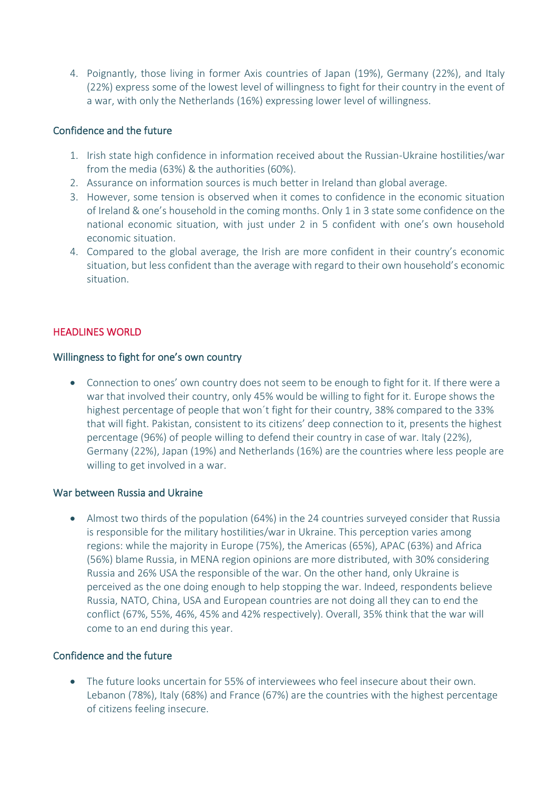4. Poignantly, those living in former Axis countries of Japan (19%), Germany (22%), and Italy (22%) express some of the lowest level of willingness to fight for their country in the event of a war, with only the Netherlands (16%) expressing lower level of willingness.

# Confidence and the future

- 1. Irish state high confidence in information received about the Russian-Ukraine hostilities/war from the media (63%) & the authorities (60%).
- 2. Assurance on information sources is much better in Ireland than global average.
- 3. However, some tension is observed when it comes to confidence in the economic situation of Ireland & one's household in the coming months. Only 1 in 3 state some confidence on the national economic situation, with just under 2 in 5 confident with one's own household economic situation.
- 4. Compared to the global average, the Irish are more confident in their country's economic situation, but less confident than the average with regard to their own household's economic situation.

# HEADLINES WORLD

#### Willingness to fight for one's own country

• Connection to ones' own country does not seem to be enough to fight for it. If there were a war that involved their country, only 45% would be willing to fight for it. Europe shows the highest percentage of people that won´t fight for their country, 38% compared to the 33% that will fight. Pakistan, consistent to its citizens' deep connection to it, presents the highest percentage (96%) of people willing to defend their country in case of war. Italy (22%), Germany (22%), Japan (19%) and Netherlands (16%) are the countries where less people are willing to get involved in a war.

#### War between Russia and Ukraine

• Almost two thirds of the population (64%) in the 24 countries surveyed consider that Russia is responsible for the military hostilities/war in Ukraine. This perception varies among regions: while the majority in Europe (75%), the Americas (65%), APAC (63%) and Africa (56%) blame Russia, in MENA region opinions are more distributed, with 30% considering Russia and 26% USA the responsible of the war. On the other hand, only Ukraine is perceived as the one doing enough to help stopping the war. Indeed, respondents believe Russia, NATO, China, USA and European countries are not doing all they can to end the conflict (67%, 55%, 46%, 45% and 42% respectively). Overall, 35% think that the war will come to an end during this year.

# Confidence and the future

• The future looks uncertain for 55% of interviewees who feel insecure about their own. Lebanon (78%), Italy (68%) and France (67%) are the countries with the highest percentage of citizens feeling insecure.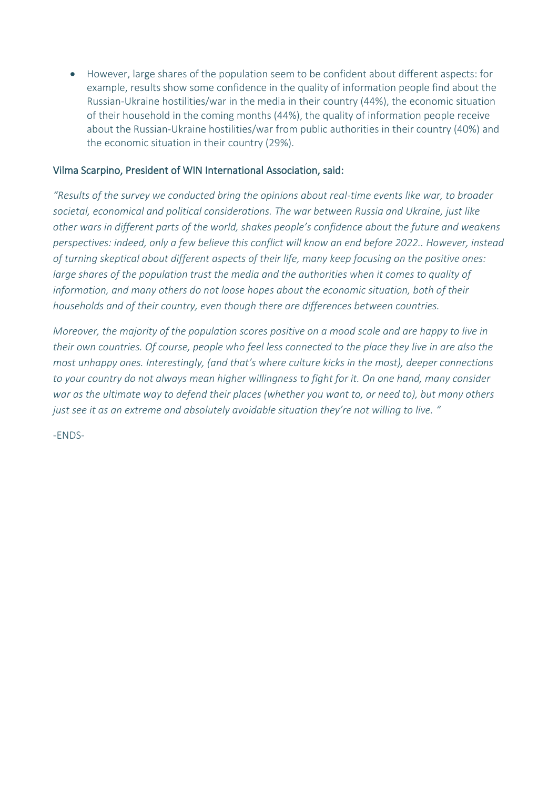• However, large shares of the population seem to be confident about different aspects: for example, results show some confidence in the quality of information people find about the Russian-Ukraine hostilities/war in the media in their country (44%), the economic situation of their household in the coming months (44%), the quality of information people receive about the Russian-Ukraine hostilities/war from public authorities in their country (40%) and the economic situation in their country (29%).

#### Vilma Scarpino, President of WIN International Association, said:

*"Results of the survey we conducted bring the opinions about real-time events like war, to broader societal, economical and political considerations. The war between Russia and Ukraine, just like other wars in different parts of the world, shakes people's confidence about the future and weakens perspectives: indeed, only a few believe this conflict will know an end before 2022.. However, instead of turning skeptical about different aspects of their life, many keep focusing on the positive ones: large shares of the population trust the media and the authorities when it comes to quality of information, and many others do not loose hopes about the economic situation, both of their households and of their country, even though there are differences between countries.* 

*Moreover, the majority of the population scores positive on a mood scale and are happy to live in their own countries. Of course, people who feel less connected to the place they live in are also the most unhappy ones. Interestingly, (and that's where culture kicks in the most), deeper connections to your country do not always mean higher willingness to fight for it. On one hand, many consider war as the ultimate way to defend their places (whether you want to, or need to), but many others just see it as an extreme and absolutely avoidable situation they're not willing to live. "*

-ENDS-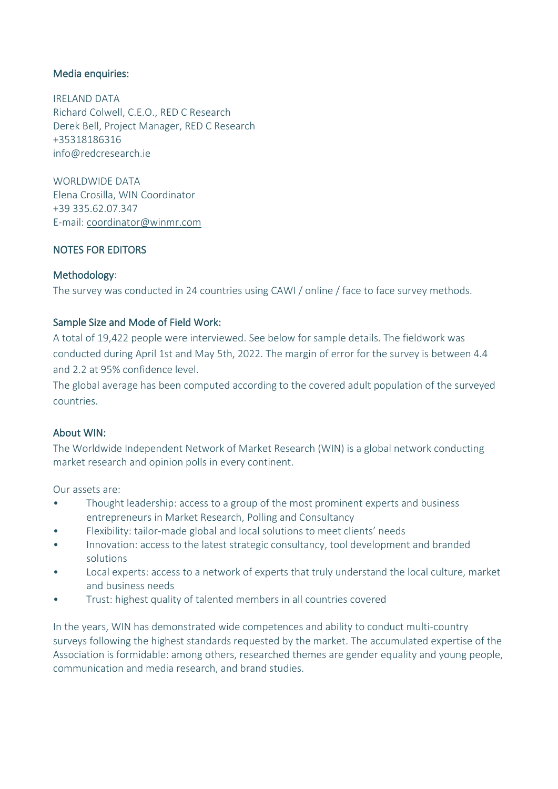# Media enquiries:

IRELAND DATA Richard Colwell, C.E.O., RED C Research Derek Bell, Project Manager, RED C Research +35318186316 info@redcresearch.ie

WORLDWIDE DATA Elena Crosilla, WIN Coordinator +39 335.62.07.347 E-mail: [coordinator@winmr.com](mailto:coordinator@winmr.com)

# NOTES FOR EDITORS

# Methodology:

The survey was conducted in 24 countries using CAWI / online / face to face survey methods.

# Sample Size and Mode of Field Work:

A total of 19,422 people were interviewed. See below for sample details. The fieldwork was conducted during April 1st and May 5th, 2022. The margin of error for the survey is between 4.4 and 2.2 at 95% confidence level.

The global average has been computed according to the covered adult population of the surveyed countries.

#### About WIN:

The Worldwide Independent Network of Market Research (WIN) is a global network conducting market research and opinion polls in every continent.

Our assets are:

- Thought leadership: access to a group of the most prominent experts and business entrepreneurs in Market Research, Polling and Consultancy
- Flexibility: tailor-made global and local solutions to meet clients' needs
- Innovation: access to the latest strategic consultancy, tool development and branded solutions
- Local experts: access to a network of experts that truly understand the local culture, market and business needs
- Trust: highest quality of talented members in all countries covered

In the years, WIN has demonstrated wide competences and ability to conduct multi-country surveys following the highest standards requested by the market. The accumulated expertise of the Association is formidable: among others, researched themes are gender equality and young people, communication and media research, and brand studies.